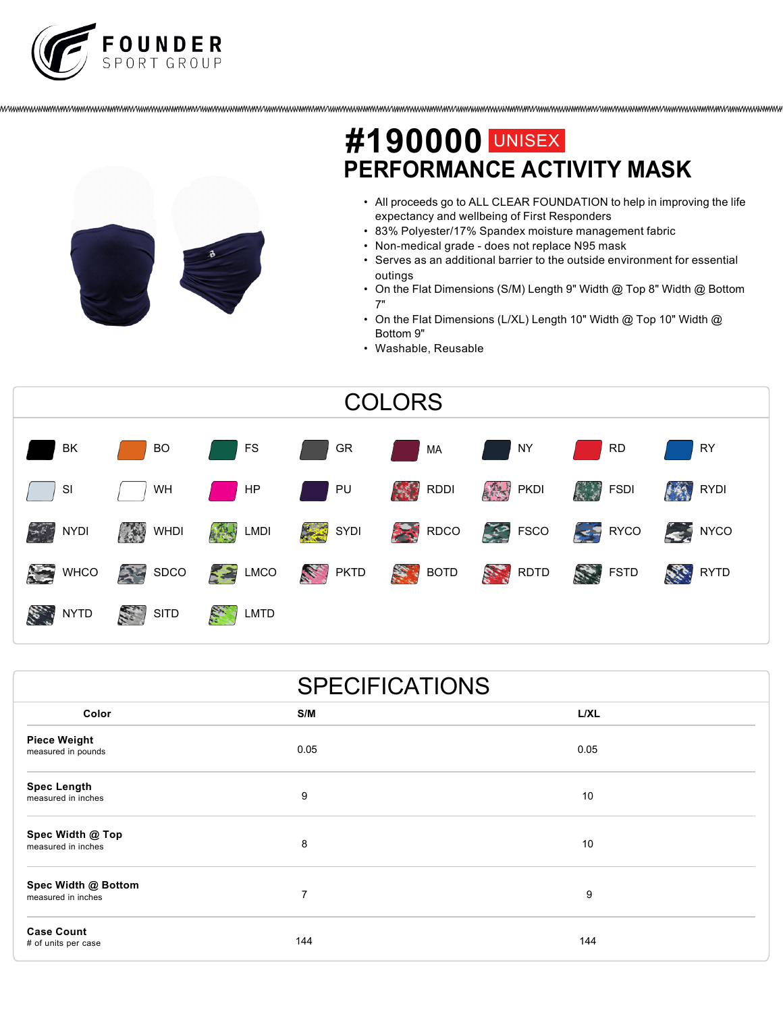



## **PERFORMANCE ACTIVITY MASK #190000** UNISEX

- All proceeds go to ALL CLEAR FOUNDATION to help in improving the life expectancy and wellbeing of First Responders
- 83% Polyester/17% Spandex moisture management fabric
- Non-medical grade does not replace N95 mask
- Serves as an additional barrier to the outside environment for essential outings
- On the Flat Dimensions (S/M) Length 9" Width @ Top 8" Width @ Bottom 7"
- On the Flat Dimensions (L/XL) Length 10" Width @ Top 10" Width @ Bottom 9"
- Washable, Reusable



|                                           | <b>SPECIFICATIONS</b> |      |
|-------------------------------------------|-----------------------|------|
| Color                                     | S/M                   | L/XL |
| <b>Piece Weight</b><br>measured in pounds | 0.05                  | 0.05 |
| <b>Spec Length</b><br>measured in inches  | 9                     | 10   |
| Spec Width @ Top<br>measured in inches    | 8                     | 10   |
| Spec Width @ Bottom<br>measured in inches | $\overline{7}$        | 9    |
| <b>Case Count</b><br># of units per case  | 144                   | 144  |